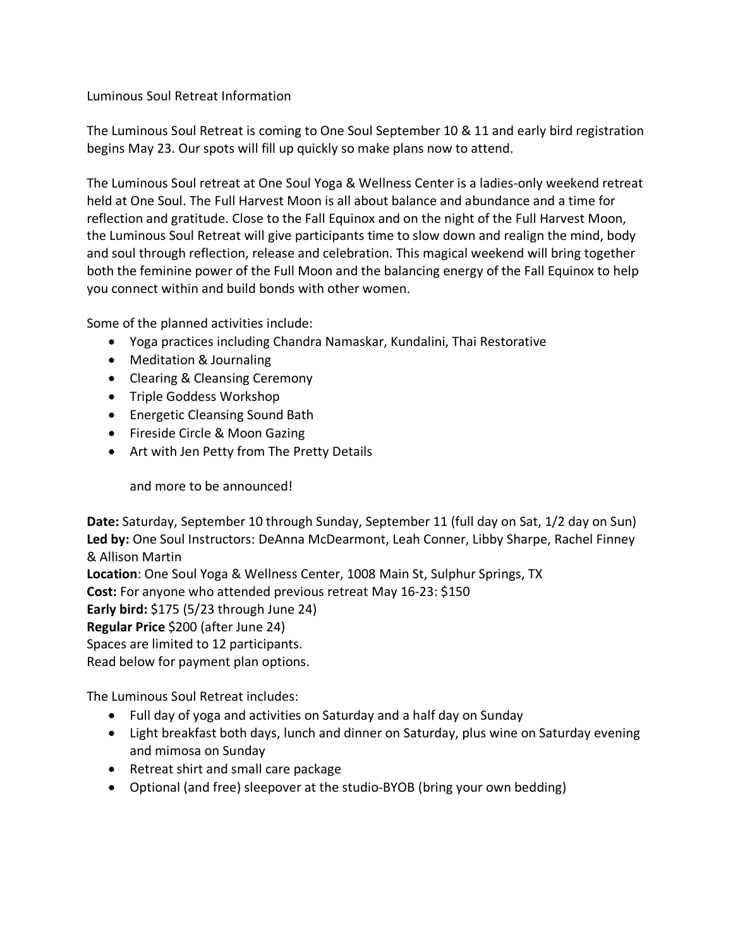## Luminous Soul Retreat Information

The Luminous Soul Retreat is coming to One Soul September 10 & 11 and early bird registration begins May 23. Our spots will fill up quickly so make plans now to attend.

The Luminous Soul retreat at One Soul Yoga & Wellness Center is a ladies-only weekend retreat held at One Soul. The Full Harvest Moon is all about balance and abundance and a time for reflection and gratitude. Close to the Fall Equinox and on the night of the Full Harvest Moon, the Luminous Soul Retreat will give participants time to slow down and realign the mind, body and soul through reflection, release and celebration. This magical weekend will bring together both the feminine power of the Full Moon and the balancing energy of the Fall Equinox to help you connect within and build bonds with other women.

Some of the planned activities include:

- Yoga practices including Chandra Namaskar, Kundalini, Thai Restorative
- Meditation & Journaling
- Clearing & Cleansing Ceremony
- Triple Goddess Workshop
- Energetic Cleansing Sound Bath
- Fireside Circle & Moon Gazing
- Art with Jen Petty from The Pretty Details

and more to be announced!

**Date:** Saturday, September 10 through Sunday, September 11 (full day on Sat, 1/2 day on Sun) **Led by:** One Soul Instructors: DeAnna McDearmont, Leah Conner, Libby Sharpe, Rachel Finney & Allison Martin **Location**: One Soul Yoga & Wellness Center, 1008 Main St, Sulphur Springs, TX **Cost:** For anyone who attended previous retreat May 16-23: \$150 **Early bird:** \$175 (5/23 through June 24) **Regular Price** \$200 (after June 24)

Spaces are limited to 12 participants.

Read below for payment plan options.

The Luminous Soul Retreat includes:

- Full day of yoga and activities on Saturday and a half day on Sunday
- Light breakfast both days, lunch and dinner on Saturday, plus wine on Saturday evening and mimosa on Sunday
- Retreat shirt and small care package
- Optional (and free) sleepover at the studio-BYOB (bring your own bedding)